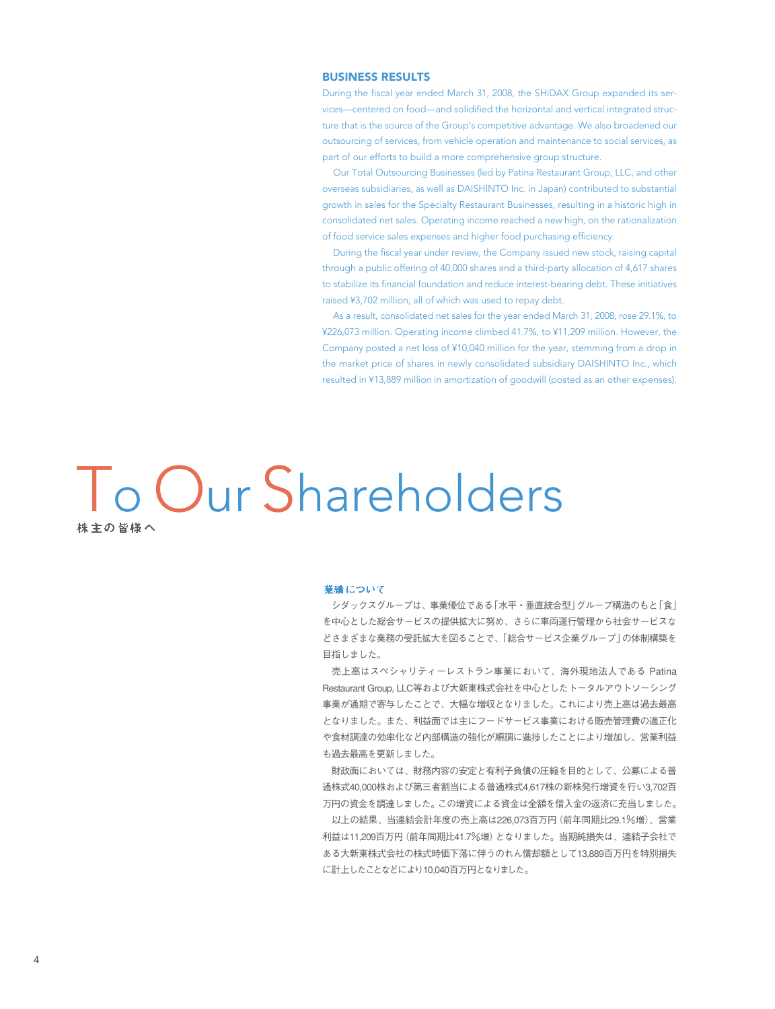## BUSINESS RESULTS

During the fiscal year ended March 31, 2008, the SHiDAX Group expanded its services—centered on food—and solidified the horizontal and vertical integrated structure that is the source of the Group's competitive advantage. We also broadened our outsourcing of services, from vehicle operation and maintenance to social services, as part of our efforts to build a more comprehensive group structure.

Our Total Outsourcing Businesses (led by Patina Restaurant Group, LLC, and other overseas subsidiaries, as well as DAISHINTO Inc. in Japan) contributed to substantial growth in sales for the Specialty Restaurant Businesses, resulting in a historic high in consolidated net sales. Operating income reached a new high, on the rationalization of food service sales expenses and higher food purchasing efficiency.

During the fiscal year under review, the Company issued new stock, raising capital through a public offering of 40,000 shares and a third-party allocation of 4,617 shares to stabilize its financial foundation and reduce interest-bearing debt. These initiatives raised ¥3,702 million, all of which was used to repay debt.

As a result, consolidated net sales for the year ended March 31, 2008, rose 29.1%, to ¥226,073 million. Operating income climbed 41.7%, to ¥11,209 million. However, the Company posted a net loss of ¥10,040 million for the year, stemming from a drop in the market price of shares in newly consolidated subsidiary DAISHINTO Inc., which resulted in ¥13,889 million in amortization of goodwill (posted as an other expenses).

To Our Shareholders

#### 業績について

シダックスグループは、事業優位である「水平・垂直統合型」グループ構造のもと「食」 を中心とした総合サービスの提供拡大に努め、さらに車両運行管理から社会サービスな どさまざまな業務の受託拡大を図ることで、「総合サービス企業グループ」の体制構築を 目指しました。

売上高はスペシャリティーレストラン事業において、海外現地法人である Patina Restaurant Group, LLC等および大新東株式会社を中心としたトータルアウトソーシング 事業が通期で寄与したことで、大幅な増収となりました。これにより売上高は過去最高 となりました。また、利益面では主にフードサービス事業における販売管理費の適正化 や食材調達の効率化など内部構造の強化が順調に進捗したことにより増加し、営業利益 も過去最高を更新しました。

財政面においては、財務内容の安定と有利子負債の圧縮を目的として、公募による普 通株式40,000株および第三者割当による普通株式4,617株の新株発行増資を行い3,702百 万円の資金を調達しました。この増資による資金は全額を借入金の返済に充当しました。

以上の結果、当連結会計年度の売上高は226,073百万円(前年同期比29.1%増)、営業 利益は11,209百万円(前年同期比41.7%増)となりました。当期純損失は、連結子会社で ある大新東株式会社の株式時価下落に伴うのれん償却額として13,889百万円を特別損失 に計上したことなどにより10,040百万円となりました。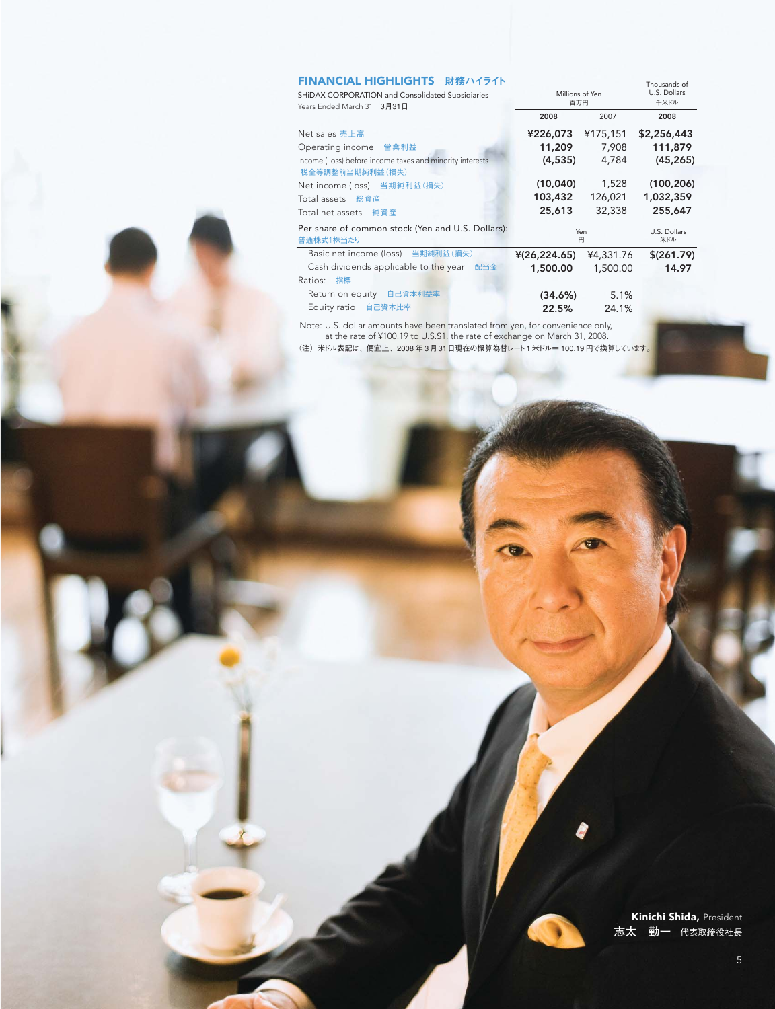# **FINANCIAL HIGHLIGHTS 財務ハイライト**

| FINANCIAL HIGHLIGHTS 財務ハイライト<br>SHIDAX CORPORATION and Consolidated Subsidiaries | Millions of Yen     |           | Thousands of<br>U.S. Dollars |
|----------------------------------------------------------------------------------|---------------------|-----------|------------------------------|
| Years Ended March 31 3月31日                                                       | 百万円<br>2008<br>2007 |           | 千米ドル<br>2008                 |
|                                                                                  |                     |           |                              |
| Net sales 売上高                                                                    | ¥226,073            | ¥175,151  | \$2,256,443                  |
| Operating income 営業利益                                                            | 11,209              | 7,908     | 111,879                      |
| Income (Loss) before income taxes and minority interests<br>税金等調整前当期純利益(損失)      | (4, 535)            | 4,784     | (45, 265)                    |
| Net income (loss) 当期純利益(損失)                                                      | (10,040)            | 1,528     | (100, 206)                   |
| Total assets 総資産                                                                 | 103,432             | 126,021   | 1,032,359                    |
| Total net assets<br>純資産                                                          | 25,613              | 32,338    | 255,647                      |
| Per share of common stock (Yen and U.S. Dollars):<br>普通株式1株当たり                   | Yen<br>円            |           | U.S. Dollars<br>米ドル          |
| Basic net income (loss) 当期純利益(損失)                                                | ¥(26,224.65)        | ¥4,331.76 | \$ (261.79)                  |
| Cash dividends applicable to the year 配当金                                        | 1,500.00            | 1,500.00  | 14.97                        |
| Ratios:<br>指標                                                                    |                     |           |                              |
| Return on equity 自己資本利益率                                                         | (34.6%)             | 5.1%      |                              |
| Equity ratio 自己資本比率                                                              | 22.5%               | 24.1%     |                              |
|                                                                                  |                     |           |                              |

Note: U.S. dollar amounts have been translated from yen, for convenience only,

at the rate of ¥100.19 to U.S.\$1, the rate of exchange on March 31, 2008.

(注)米ドル表記は、便宜上、2008 年 3月31日現在の概算為替レート1米ドル= 100.19 円で換算しています。

Kinichi Shida, President **志太 勤一** 代表取締役社長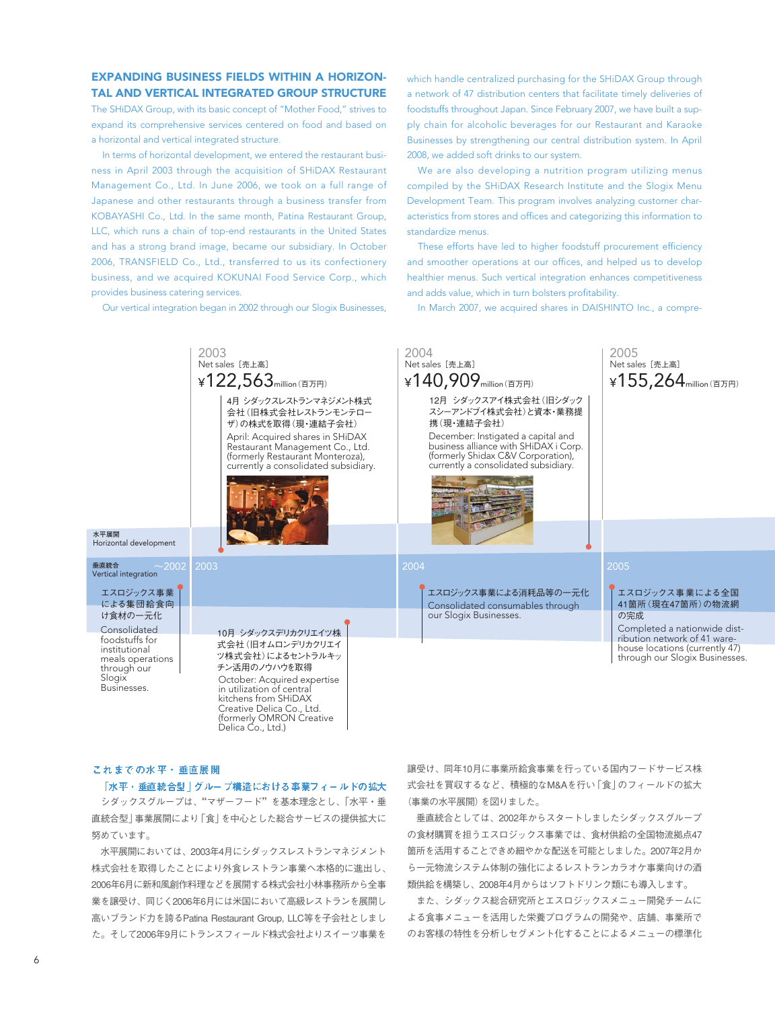# EXPANDING BUSINESS FIELDS WITHIN A HORIZON-TAL AND VERTICAL INTEGRATED GROUP STRUCTURE

The SHiDAX Group, with its basic concept of "Mother Food," strives to expand its comprehensive services centered on food and based on a horizontal and vertical integrated structure.

In terms of horizontal development, we entered the restaurant business in April 2003 through the acquisition of SHiDAX Restaurant Management Co., Ltd. In June 2006, we took on a full range of Japanese and other restaurants through a business transfer from KOBAYASHI Co., Ltd. In the same month, Patina Restaurant Group, LLC, which runs a chain of top-end restaurants in the United States and has a strong brand image, became our subsidiary. In October 2006, TRANSFIELD Co., Ltd., transferred to us its confectionery business, and we acquired KOKUNAI Food Service Corp., which provides business catering services.

Our vertical integration began in 2002 through our Slogix Businesses,

which handle centralized purchasing for the SHiDAX Group through a network of 47 distribution centers that facilitate timely deliveries of foodstuffs throughout Japan. Since February 2007, we have built a supply chain for alcoholic beverages for our Restaurant and Karaoke Businesses by strengthening our central distribution system. In April 2008, we added soft drinks to our system.

We are also developing a nutrition program utilizing menus compiled by the SHiDAX Research Institute and the Slogix Menu Development Team. This program involves analyzing customer characteristics from stores and offices and categorizing this information to standardize menus.

These efforts have led to higher foodstuff procurement efficiency and smoother operations at our offices, and helped us to develop healthier menus. Such vertical integration enhances competitiveness and adds value, which in turn bolsters profitability.

In March 2007, we acquired shares in DAISHINTO Inc., a compre-

#### 2003 2004 2005 **Net sales** [売上高]  $\angle$ 155,264 $_{\text{million (HJPH)}}$ **Net sales** [売上高]  $\angle$  140,909 $_{\text{million (EJ)ED}}$ **Net sales** [売上高] ¥122,563<sub>million</sub>(百万円)  $\sim$ 2002 | 2003  $\sim$  2005 | 2004 | 2004 | 2004 | 2004 | 2005 | 2005 | 2005 | 2005 4月 シダックスレストランマネジメント株式 会社(旧株式会社レストランモンテロー ザ)の株式を取得(現・連結子会社) April: Acquired shares in SHiDAX Restaurant Management Co., Ltd. (formerly Restaurant Monteroza), currently a consolidated subsidiary. Consolidated foodstuffs for institutional meals operations through our **Slogix** Businesses. December: Instigated a capital and business alliance with SHiDAX i Corp. (formerly Shidax C&V Corporation), currently a consolidated subsidiary. October: Acquired expertise in utilization of central kitchens from SHiDAX Creative Delica Co., Ltd. (formerly OMRON Creative Delica Co., Ltd.) Consolidated consumables through our Slogix Businesses. 10月 シダックスデリカクリエイツ株 式会社(旧オムロンデリカクリエイ ツ株式会社)によるセントラルキッ チン活用のノウハウを取得 12月 シダックスアイ株式会社(旧シダック スシーアンドブイ株式会社)と資本・業務提 携(現・連結子会社) エスロジックス事業による全国 41箇所(現在47箇所)の物流網 の完成 エスロジックス事業 エスロジックス事業による消耗品等の一元化による消耗品等の一元化による消耗品等の一元化 による集団給食向 け食材の一元化 **水平展開**  Horizontal development **垂直統合**  Vertical integration Completed a nationwide distribution network of 41 warehouse locations (currently 47) through our Slogix Businesses.

### これまでの水平・垂直展開

「水平・垂直統合型」グループ構造における事業フィールドの拡大

シダックスグループは、"マザーフード"を基本理念とし、「水平・垂 直統合型」事業展開により「食」を中心とした総合サービスの提供拡大に 努めています。

水平展開においては、2003年4月にシダックスレストランマネジメント 株式会社を取得したことにより外食レストラン事業へ本格的に進出し、 2006年6月に新和風創作料理などを展開する株式会社小林事務所から全事 業を譲受け、同じく2006年6月には米国において高級レストランを展開し 高いブランド力を誇るPatina Restaurant Group, LLC等を子会社としまし た。そして2006年9月にトランスフィールド株式会社よりスイーツ事業を 譲受け、同年10月に事業所給食事業を行っている国内フードサービス株 式会社を買収するなど、積極的なM&Aを行い「食」のフィールドの拡大 (事業の水平展開)を図りました。

垂直統合としては、2002年からスタートしましたシダックスグループ の食材購買を担うエスロジックス事業では、食材供給の全国物流拠点47 箇所を活用することできめ細やかな配送を可能としました。2007年2月か ら一元物流システム体制の強化によるレストランカラオケ事業向けの酒 類供給を構築し、2008年4月からはソフトドリンク類にも導入します。

また、シダックス総合研究所とエスロジックスメニュー開発チームに よる食事メニューを活用した栄養プログラムの開発や、店舗、事業所で のお客様の特性を分析しセグメント化することによるメニューの標準化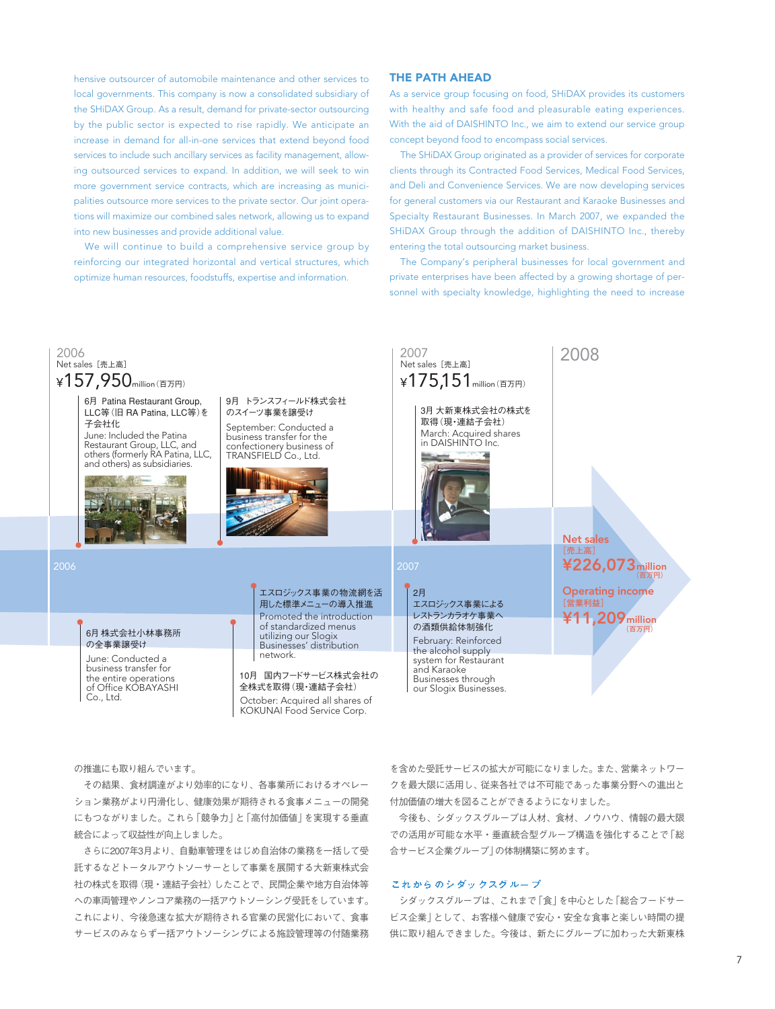hensive outsourcer of automobile maintenance and other services to local governments. This company is now a consolidated subsidiary of the SHiDAX Group. As a result, demand for private-sector outsourcing by the public sector is expected to rise rapidly. We anticipate an increase in demand for all-in-one services that extend beyond food services to include such ancillary services as facility management, allowing outsourced services to expand. In addition, we will seek to win more government service contracts, which are increasing as municipalities outsource more services to the private sector. Our joint operations will maximize our combined sales network, allowing us to expand into new businesses and provide additional value.

We will continue to build a comprehensive service group by reinforcing our integrated horizontal and vertical structures, which optimize human resources, foodstuffs, expertise and information.

# THE PATH AHEAD

As a service group focusing on food, SHiDAX provides its customers with healthy and safe food and pleasurable eating experiences. With the aid of DAISHINTO Inc., we aim to extend our service group concept beyond food to encompass social services.

The SHiDAX Group originated as a provider of services for corporate clients through its Contracted Food Services, Medical Food Services, and Deli and Convenience Services. We are now developing services for general customers via our Restaurant and Karaoke Businesses and Specialty Restaurant Businesses. In March 2007, we expanded the SHiDAX Group through the addition of DAISHINTO Inc., thereby entering the total outsourcing market business.

The Company's peripheral businesses for local government and private enterprises have been affected by a growing shortage of personnel with specialty knowledge, highlighting the need to increase



の推進にも取り組んでいます。

その結果、食材調達がより効率的になり、各事業所におけるオペレー ション業務がより円滑化し、健康効果が期待される食事メニューの開発 にもつながりました。これら「競争力」と「高付加価値」を実現する垂直 統合によって収益性が向上しました。

さらに2007年3月より、自動車管理をはじめ自治体の業務を一括して受 託するなどトータルアウトソーサーとして事業を展開する大新東株式会 社の株式を取得(現・連結子会社)したことで、民間企業や地方自治体等 への車両管理やノンコア業務の一括アウトソーシング受託をしています。 これにより、今後急速な拡大が期待される官業の民営化において、食事 サービスのみならず一括アウトソーシングによる施設管理等の付随業務 を含めた受託サービスの拡大が可能になりました。また、営業ネットワー クを最大限に活用し、従来各社では不可能であった事業分野への進出と 付加価値の増大を図ることができるようになりました。

今後も、シダックスグループは人材、食材、ノウハウ、情報の最大限 での活用が可能な水平・垂直統合型グループ構造を強化することで「総 合サービス企業グループ」の体制構築に努めます。

# これからのシダックスグループ

シダックスグループは、これまで「食」を中心とした「総合フードサー ビス企業」として、お客様へ健康で安心・安全な食事と楽しい時間の提 供に取り組んできました。今後は、新たにグループに加わった大新東株